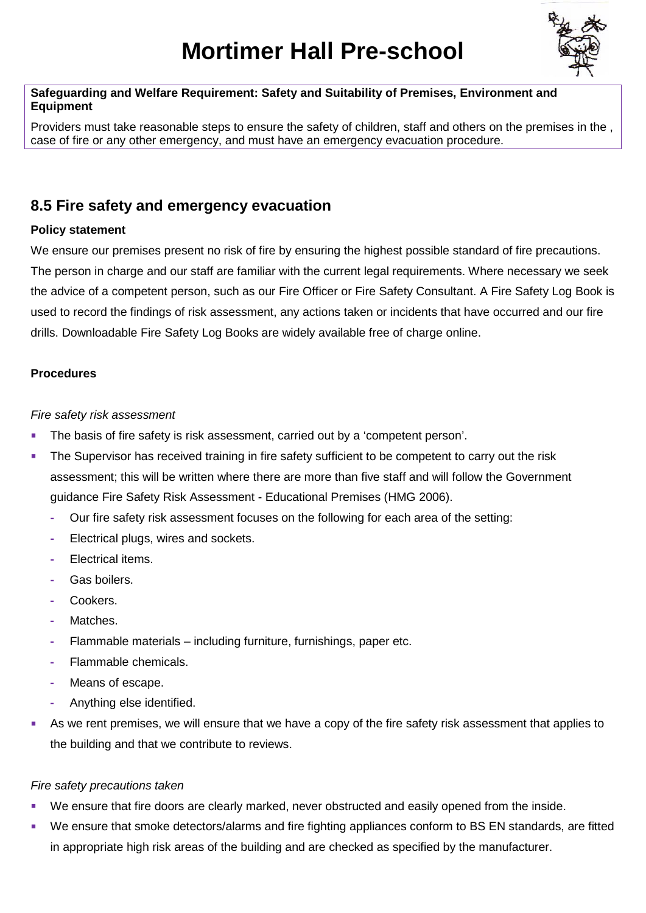# **Mortimer Hall Pre-school**



#### **Safeguarding and Welfare Requirement: Safety and Suitability of Premises, Environment and Equipment**

Providers must take reasonable steps to ensure the safety of children, staff and others on the premises in the , case of fire or any other emergency, and must have an emergency evacuation procedure.

## **8.5 Fire safety and emergency evacuation**

#### **Policy statement**

We ensure our premises present no risk of fire by ensuring the highest possible standard of fire precautions. The person in charge and our staff are familiar with the current legal requirements. Where necessary we seek the advice of a competent person, such as our Fire Officer or Fire Safety Consultant. A Fire Safety Log Book is used to record the findings of risk assessment, any actions taken or incidents that have occurred and our fire drills. Downloadable Fire Safety Log Books are widely available free of charge online.

### **Procedures**

#### *Fire safety risk assessment*

- The basis of fire safety is risk assessment, carried out by a 'competent person'.
- The Supervisor has received training in fire safety sufficient to be competent to carry out the risk assessment; this will be written where there are more than five staff and will follow the Government guidance Fire Safety Risk Assessment - Educational Premises (HMG 2006).
	- **-** Our fire safety risk assessment focuses on the following for each area of the setting:
	- **-** Electrical plugs, wires and sockets.
	- **-** Electrical items.
	- **-** Gas boilers.
	- **-** Cookers.
	- **-** Matches.
	- **-** Flammable materials including furniture, furnishings, paper etc.
	- **-** Flammable chemicals.
	- **-** Means of escape.
	- **-** Anything else identified.
- As we rent premises, we will ensure that we have a copy of the fire safety risk assessment that applies to the building and that we contribute to reviews.

#### *Fire safety precautions taken*

- We ensure that fire doors are clearly marked, never obstructed and easily opened from the inside.
- We ensure that smoke detectors/alarms and fire fighting appliances conform to BS EN standards, are fitted in appropriate high risk areas of the building and are checked as specified by the manufacturer.